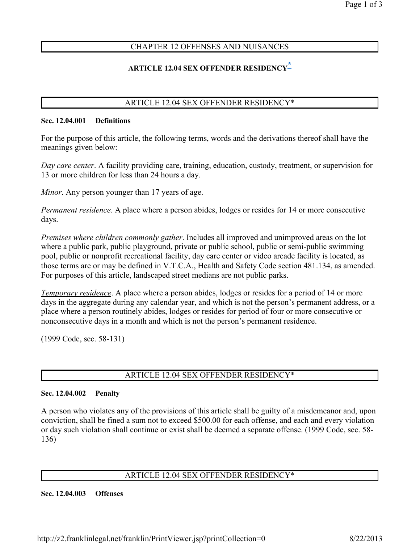# CHAPTER 12 OFFENSES AND NUISANCES

# ARTICLE 12.04 SEX OFFENDER RESIDENCY-

## ARTICLE 12.04 SEX OFFENDER RESIDENCY\*

#### Sec. 12.04.001 Definitions

For the purpose of this article, the following terms, words and the derivations thereof shall have the meanings given below:

Day care center. A facility providing care, training, education, custody, treatment, or supervision for 13 or more children for less than 24 hours a day.

Minor. Any person younger than 17 years of age.

Permanent residence. A place where a person abides, lodges or resides for 14 or more consecutive days.

Premises where children commonly gather. Includes all improved and unimproved areas on the lot where a public park, public playground, private or public school, public or semi-public swimming pool, public or nonprofit recreational facility, day care center or video arcade facility is located, as those terms are or may be defined in V.T.C.A., Health and Safety Code section 481.134, as amended. For purposes of this article, landscaped street medians are not public parks.

**Temporary residence**. A place where a person abides, lodges or resides for a period of 14 or more days in the aggregate during any calendar year, and which is not the person's permanent address, or a place where a person routinely abides, lodges or resides for period of four or more consecutive or nonconsecutive days in a month and which is not the person's permanent residence.

(1999 Code, sec. 58-131)

## ARTICLE 12.04 SEX OFFENDER RESIDENCY\*

### Sec. 12.04.002 Penalty

A person who violates any of the provisions of this article shall be guilty of a misdemeanor and, upon conviction, shall be fined a sum not to exceed \$500.00 for each offense, and each and every violation or day such violation shall continue or exist shall be deemed a separate offense. (1999 Code, sec. 58- 136)

## ARTICLE 12.04 SEX OFFENDER RESIDENCY\*

### Sec. 12.04.003 Offenses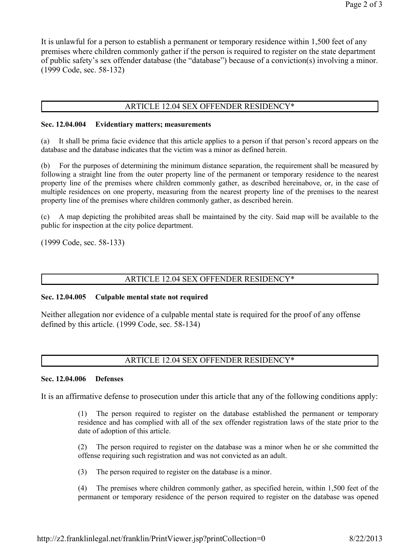It is unlawful for a person to establish a permanent or temporary residence within 1,500 feet of any premises where children commonly gather if the person is required to register on the state department of public safety's sex offender database (the "database") because of a conviction(s) involving a minor. (1999 Code, sec. 58-132)

#### ARTICLE 12.04 SEX OFFENDER RESIDENCY\*

#### Sec. 12.04.004 Evidentiary matters; measurements

(a) It shall be prima facie evidence that this article applies to a person if that person's record appears on the database and the database indicates that the victim was a minor as defined herein.

(b) For the purposes of determining the minimum distance separation, the requirement shall be measured by following a straight line from the outer property line of the permanent or temporary residence to the nearest property line of the premises where children commonly gather, as described hereinabove, or, in the case of multiple residences on one property, measuring from the nearest property line of the premises to the nearest property line of the premises where children commonly gather, as described herein.

(c) A map depicting the prohibited areas shall be maintained by the city. Said map will be available to the public for inspection at the city police department.

(1999 Code, sec. 58-133)

### ARTICLE 12.04 SEX OFFENDER RESIDENCY\*

#### Sec. 12.04.005 Culpable mental state not required

Neither allegation nor evidence of a culpable mental state is required for the proof of any offense defined by this article. (1999 Code, sec. 58-134)

### ARTICLE 12.04 SEX OFFENDER RESIDENCY\*

#### Sec. 12.04.006 Defenses

It is an affirmative defense to prosecution under this article that any of the following conditions apply:

(1) The person required to register on the database established the permanent or temporary residence and has complied with all of the sex offender registration laws of the state prior to the date of adoption of this article.

(2) The person required to register on the database was a minor when he or she committed the offense requiring such registration and was not convicted as an adult.

(3) The person required to register on the database is a minor.

(4) The premises where children commonly gather, as specified herein, within 1,500 feet of the permanent or temporary residence of the person required to register on the database was opened